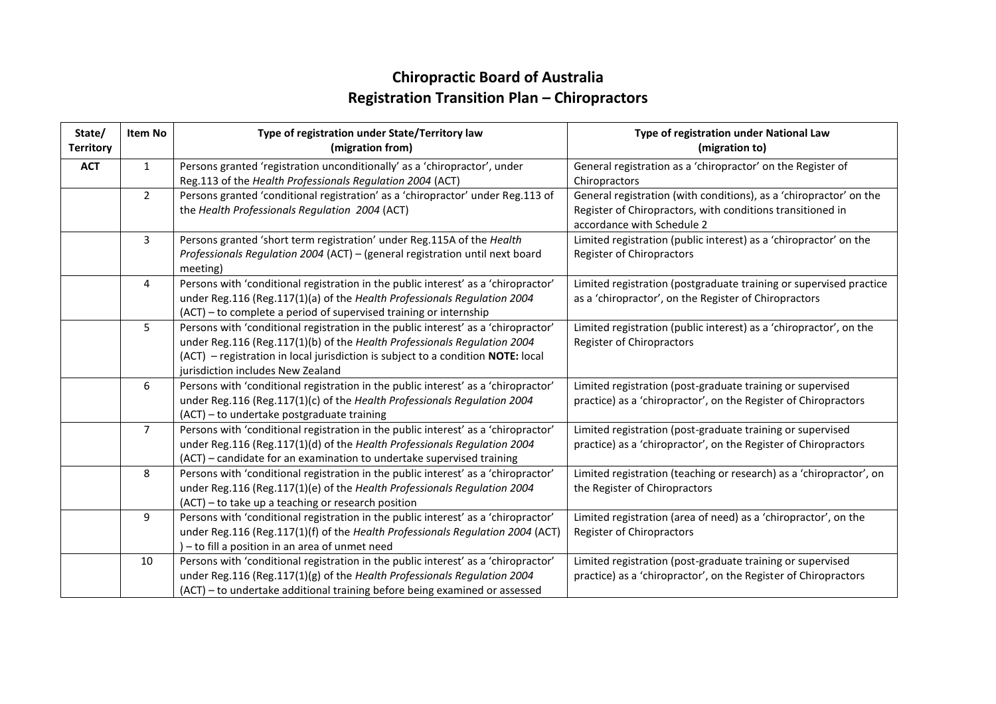## **Chiropractic Board of Australia Registration Transition Plan – Chiropractors**

| State/<br><b>Territory</b> | Item No        | Type of registration under State/Territory law<br>(migration from)                        | Type of registration under National Law<br>(migration to)           |
|----------------------------|----------------|-------------------------------------------------------------------------------------------|---------------------------------------------------------------------|
| <b>ACT</b>                 | $\mathbf{1}$   | Persons granted 'registration unconditionally' as a 'chiropractor', under                 | General registration as a 'chiropractor' on the Register of         |
|                            |                | Reg.113 of the Health Professionals Regulation 2004 (ACT)                                 | Chiropractors                                                       |
|                            | $\overline{2}$ | Persons granted 'conditional registration' as a 'chiropractor' under Reg.113 of           | General registration (with conditions), as a 'chiropractor' on the  |
|                            |                | the Health Professionals Regulation 2004 (ACT)                                            | Register of Chiropractors, with conditions transitioned in          |
|                            |                |                                                                                           | accordance with Schedule 2                                          |
|                            | 3              | Persons granted 'short term registration' under Reg.115A of the Health                    | Limited registration (public interest) as a 'chiropractor' on the   |
|                            |                | Professionals Regulation 2004 (ACT) - (general registration until next board              | Register of Chiropractors                                           |
|                            |                | meeting)                                                                                  |                                                                     |
|                            | 4              | Persons with 'conditional registration in the public interest' as a 'chiropractor'        | Limited registration (postgraduate training or supervised practice  |
|                            |                | under Reg.116 (Reg.117(1)(a) of the Health Professionals Regulation 2004                  | as a 'chiropractor', on the Register of Chiropractors               |
|                            |                | (ACT) – to complete a period of supervised training or internship                         |                                                                     |
|                            | 5              | Persons with 'conditional registration in the public interest' as a 'chiropractor'        | Limited registration (public interest) as a 'chiropractor', on the  |
|                            |                | under Reg.116 (Reg.117(1)(b) of the Health Professionals Regulation 2004                  | Register of Chiropractors                                           |
|                            |                | $(ACT)$ – registration in local jurisdiction is subject to a condition <b>NOTE:</b> local |                                                                     |
|                            |                | jurisdiction includes New Zealand                                                         |                                                                     |
|                            | 6              | Persons with 'conditional registration in the public interest' as a 'chiropractor'        | Limited registration (post-graduate training or supervised          |
|                            |                | under Reg.116 (Reg.117(1)(c) of the Health Professionals Regulation 2004                  | practice) as a 'chiropractor', on the Register of Chiropractors     |
|                            |                | (ACT) - to undertake postgraduate training                                                |                                                                     |
|                            | $\overline{7}$ | Persons with 'conditional registration in the public interest' as a 'chiropractor'        | Limited registration (post-graduate training or supervised          |
|                            |                | under Reg.116 (Reg.117(1)(d) of the Health Professionals Regulation 2004                  | practice) as a 'chiropractor', on the Register of Chiropractors     |
|                            |                | (ACT) - candidate for an examination to undertake supervised training                     |                                                                     |
|                            | 8              | Persons with 'conditional registration in the public interest' as a 'chiropractor'        | Limited registration (teaching or research) as a 'chiropractor', on |
|                            |                | under Reg.116 (Reg.117(1)(e) of the Health Professionals Regulation 2004                  | the Register of Chiropractors                                       |
|                            |                | (ACT) - to take up a teaching or research position                                        |                                                                     |
|                            | 9              | Persons with 'conditional registration in the public interest' as a 'chiropractor'        | Limited registration (area of need) as a 'chiropractor', on the     |
|                            |                | under Reg.116 (Reg.117(1)(f) of the Health Professionals Regulation 2004 (ACT)            | Register of Chiropractors                                           |
|                            |                | ) - to fill a position in an area of unmet need                                           |                                                                     |
|                            | 10             | Persons with 'conditional registration in the public interest' as a 'chiropractor'        | Limited registration (post-graduate training or supervised          |
|                            |                | under Reg.116 (Reg.117(1)(g) of the Health Professionals Regulation 2004                  | practice) as a 'chiropractor', on the Register of Chiropractors     |
|                            |                | (ACT) - to undertake additional training before being examined or assessed                |                                                                     |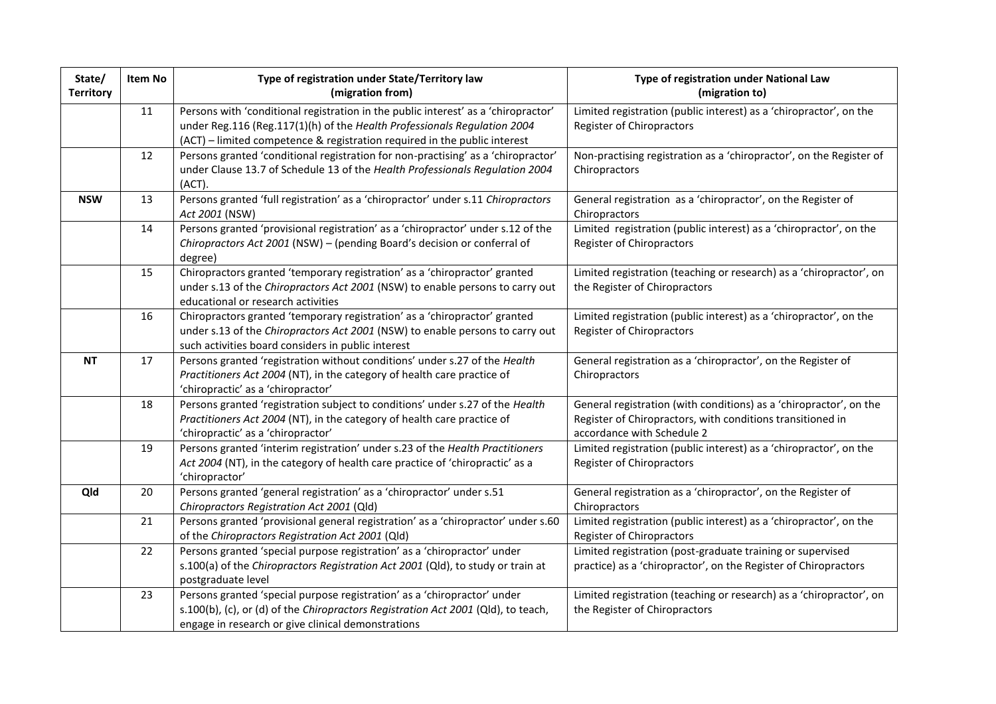| State/<br><b>Territory</b> | Item No | Type of registration under State/Territory law<br>(migration from)                                                                                                                                                                          | Type of registration under National Law<br>(migration to)                                                                                                      |
|----------------------------|---------|---------------------------------------------------------------------------------------------------------------------------------------------------------------------------------------------------------------------------------------------|----------------------------------------------------------------------------------------------------------------------------------------------------------------|
|                            | 11      | Persons with 'conditional registration in the public interest' as a 'chiropractor'<br>under Reg.116 (Reg.117(1)(h) of the Health Professionals Regulation 2004<br>(ACT) - limited competence & registration required in the public interest | Limited registration (public interest) as a 'chiropractor', on the<br>Register of Chiropractors                                                                |
|                            | 12      | Persons granted 'conditional registration for non-practising' as a 'chiropractor'<br>under Clause 13.7 of Schedule 13 of the Health Professionals Regulation 2004<br>(ACT).                                                                 | Non-practising registration as a 'chiropractor', on the Register of<br>Chiropractors                                                                           |
| <b>NSW</b>                 | 13      | Persons granted 'full registration' as a 'chiropractor' under s.11 Chiropractors<br>Act 2001 (NSW)                                                                                                                                          | General registration as a 'chiropractor', on the Register of<br>Chiropractors                                                                                  |
|                            | 14      | Persons granted 'provisional registration' as a 'chiropractor' under s.12 of the<br>Chiropractors Act 2001 (NSW) - (pending Board's decision or conferral of<br>degree)                                                                     | Limited registration (public interest) as a 'chiropractor', on the<br>Register of Chiropractors                                                                |
|                            | 15      | Chiropractors granted 'temporary registration' as a 'chiropractor' granted<br>under s.13 of the Chiropractors Act 2001 (NSW) to enable persons to carry out<br>educational or research activities                                           | Limited registration (teaching or research) as a 'chiropractor', on<br>the Register of Chiropractors                                                           |
|                            | 16      | Chiropractors granted 'temporary registration' as a 'chiropractor' granted<br>under s.13 of the Chiropractors Act 2001 (NSW) to enable persons to carry out<br>such activities board considers in public interest                           | Limited registration (public interest) as a 'chiropractor', on the<br>Register of Chiropractors                                                                |
| <b>NT</b>                  | 17      | Persons granted 'registration without conditions' under s.27 of the Health<br>Practitioners Act 2004 (NT), in the category of health care practice of<br>'chiropractic' as a 'chiropractor'                                                 | General registration as a 'chiropractor', on the Register of<br>Chiropractors                                                                                  |
|                            | 18      | Persons granted 'registration subject to conditions' under s.27 of the Health<br>Practitioners Act 2004 (NT), in the category of health care practice of<br>'chiropractic' as a 'chiropractor'                                              | General registration (with conditions) as a 'chiropractor', on the<br>Register of Chiropractors, with conditions transitioned in<br>accordance with Schedule 2 |
|                            | 19      | Persons granted 'interim registration' under s.23 of the Health Practitioners<br>Act 2004 (NT), in the category of health care practice of 'chiropractic' as a<br>'chiropractor'                                                            | Limited registration (public interest) as a 'chiropractor', on the<br>Register of Chiropractors                                                                |
| Qld                        | 20      | Persons granted 'general registration' as a 'chiropractor' under s.51<br>Chiropractors Registration Act 2001 (Qld)                                                                                                                          | General registration as a 'chiropractor', on the Register of<br>Chiropractors                                                                                  |
|                            | 21      | Persons granted 'provisional general registration' as a 'chiropractor' under s.60<br>of the Chiropractors Registration Act 2001 (Qld)                                                                                                       | Limited registration (public interest) as a 'chiropractor', on the<br>Register of Chiropractors                                                                |
|                            | 22      | Persons granted 'special purpose registration' as a 'chiropractor' under<br>s.100(a) of the Chiropractors Registration Act 2001 (Qld), to study or train at<br>postgraduate level                                                           | Limited registration (post-graduate training or supervised<br>practice) as a 'chiropractor', on the Register of Chiropractors                                  |
|                            | 23      | Persons granted 'special purpose registration' as a 'chiropractor' under<br>s.100(b), (c), or (d) of the Chiropractors Registration Act 2001 (Qld), to teach,<br>engage in research or give clinical demonstrations                         | Limited registration (teaching or research) as a 'chiropractor', on<br>the Register of Chiropractors                                                           |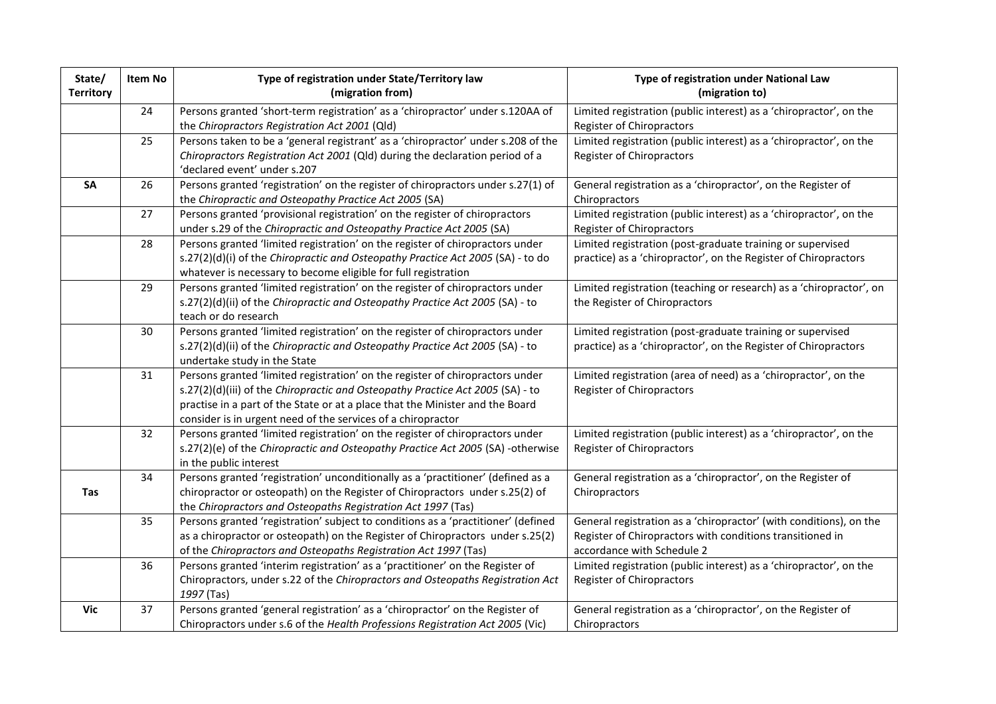| State/<br><b>Territory</b> | Item No | Type of registration under State/Territory law<br>(migration from)                                                                                                                                                                                                                                               | Type of registration under National Law<br>(migration to)                                                                                                     |
|----------------------------|---------|------------------------------------------------------------------------------------------------------------------------------------------------------------------------------------------------------------------------------------------------------------------------------------------------------------------|---------------------------------------------------------------------------------------------------------------------------------------------------------------|
|                            | 24      | Persons granted 'short-term registration' as a 'chiropractor' under s.120AA of                                                                                                                                                                                                                                   | Limited registration (public interest) as a 'chiropractor', on the                                                                                            |
|                            |         | the Chiropractors Registration Act 2001 (Qld)                                                                                                                                                                                                                                                                    | Register of Chiropractors                                                                                                                                     |
|                            | 25      | Persons taken to be a 'general registrant' as a 'chiropractor' under s.208 of the<br>Chiropractors Registration Act 2001 (Qld) during the declaration period of a                                                                                                                                                | Limited registration (public interest) as a 'chiropractor', on the<br>Register of Chiropractors                                                               |
|                            |         | 'declared event' under s.207                                                                                                                                                                                                                                                                                     |                                                                                                                                                               |
| SA                         | 26      | Persons granted 'registration' on the register of chiropractors under s.27(1) of<br>the Chiropractic and Osteopathy Practice Act 2005 (SA)                                                                                                                                                                       | General registration as a 'chiropractor', on the Register of<br>Chiropractors                                                                                 |
|                            | 27      | Persons granted 'provisional registration' on the register of chiropractors<br>under s.29 of the Chiropractic and Osteopathy Practice Act 2005 (SA)                                                                                                                                                              | Limited registration (public interest) as a 'chiropractor', on the<br>Register of Chiropractors                                                               |
|                            | 28      | Persons granted 'limited registration' on the register of chiropractors under<br>s.27(2)(d)(i) of the Chiropractic and Osteopathy Practice Act 2005 (SA) - to do<br>whatever is necessary to become eligible for full registration                                                                               | Limited registration (post-graduate training or supervised<br>practice) as a 'chiropractor', on the Register of Chiropractors                                 |
|                            | 29      | Persons granted 'limited registration' on the register of chiropractors under<br>s.27(2)(d)(ii) of the Chiropractic and Osteopathy Practice Act 2005 (SA) - to<br>teach or do research                                                                                                                           | Limited registration (teaching or research) as a 'chiropractor', on<br>the Register of Chiropractors                                                          |
|                            | 30      | Persons granted 'limited registration' on the register of chiropractors under<br>s.27(2)(d)(ii) of the Chiropractic and Osteopathy Practice Act 2005 (SA) - to<br>undertake study in the State                                                                                                                   | Limited registration (post-graduate training or supervised<br>practice) as a 'chiropractor', on the Register of Chiropractors                                 |
|                            | 31      | Persons granted 'limited registration' on the register of chiropractors under<br>s.27(2)(d)(iii) of the Chiropractic and Osteopathy Practice Act 2005 (SA) - to<br>practise in a part of the State or at a place that the Minister and the Board<br>consider is in urgent need of the services of a chiropractor | Limited registration (area of need) as a 'chiropractor', on the<br>Register of Chiropractors                                                                  |
|                            | 32      | Persons granted 'limited registration' on the register of chiropractors under<br>s.27(2)(e) of the Chiropractic and Osteopathy Practice Act 2005 (SA) -otherwise<br>in the public interest                                                                                                                       | Limited registration (public interest) as a 'chiropractor', on the<br>Register of Chiropractors                                                               |
| <b>Tas</b>                 | 34      | Persons granted 'registration' unconditionally as a 'practitioner' (defined as a<br>chiropractor or osteopath) on the Register of Chiropractors under s.25(2) of<br>the Chiropractors and Osteopaths Registration Act 1997 (Tas)                                                                                 | General registration as a 'chiropractor', on the Register of<br>Chiropractors                                                                                 |
|                            | 35      | Persons granted 'registration' subject to conditions as a 'practitioner' (defined<br>as a chiropractor or osteopath) on the Register of Chiropractors under s.25(2)<br>of the Chiropractors and Osteopaths Registration Act 1997 (Tas)                                                                           | General registration as a 'chiropractor' (with conditions), on the<br>Register of Chiropractors with conditions transitioned in<br>accordance with Schedule 2 |
|                            | 36      | Persons granted 'interim registration' as a 'practitioner' on the Register of<br>Chiropractors, under s.22 of the Chiropractors and Osteopaths Registration Act<br>1997 (Tas)                                                                                                                                    | Limited registration (public interest) as a 'chiropractor', on the<br>Register of Chiropractors                                                               |
| Vic                        | 37      | Persons granted 'general registration' as a 'chiropractor' on the Register of<br>Chiropractors under s.6 of the Health Professions Registration Act 2005 (Vic)                                                                                                                                                   | General registration as a 'chiropractor', on the Register of<br>Chiropractors                                                                                 |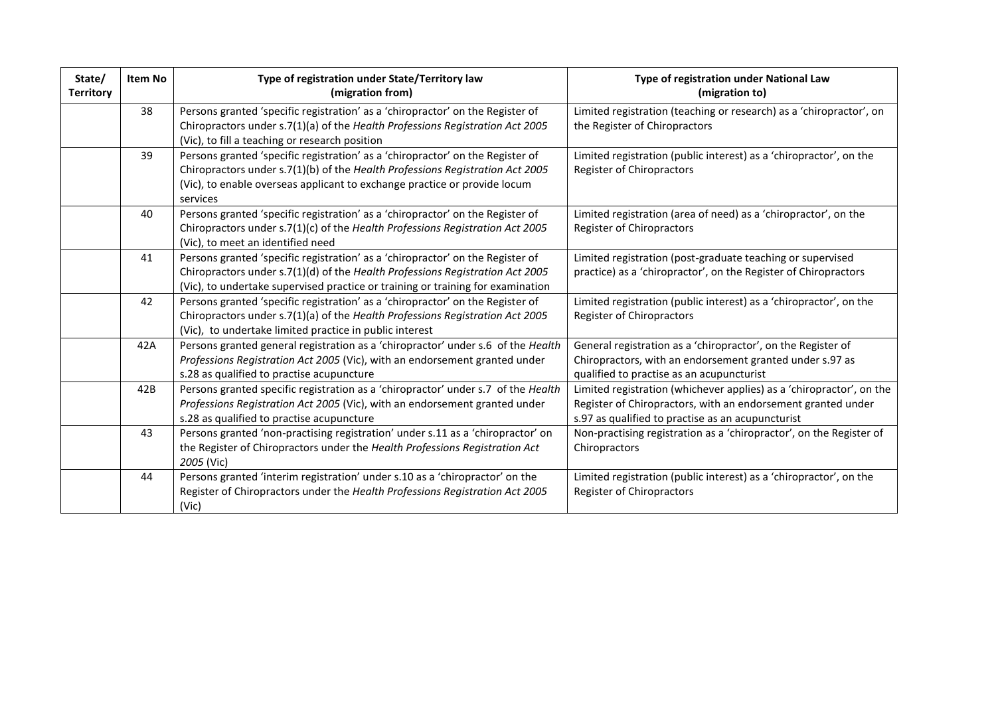| State/<br><b>Territory</b> | <b>Item No</b> | Type of registration under State/Territory law<br>(migration from)                                                                                                                                                                                       | Type of registration under National Law<br>(migration to)                                                                                                                                 |
|----------------------------|----------------|----------------------------------------------------------------------------------------------------------------------------------------------------------------------------------------------------------------------------------------------------------|-------------------------------------------------------------------------------------------------------------------------------------------------------------------------------------------|
|                            | 38             | Persons granted 'specific registration' as a 'chiropractor' on the Register of<br>Chiropractors under s.7(1)(a) of the Health Professions Registration Act 2005<br>(Vic), to fill a teaching or research position                                        | Limited registration (teaching or research) as a 'chiropractor', on<br>the Register of Chiropractors                                                                                      |
|                            | 39             | Persons granted 'specific registration' as a 'chiropractor' on the Register of<br>Chiropractors under s.7(1)(b) of the Health Professions Registration Act 2005<br>(Vic), to enable overseas applicant to exchange practice or provide locum<br>services | Limited registration (public interest) as a 'chiropractor', on the<br>Register of Chiropractors                                                                                           |
|                            | 40             | Persons granted 'specific registration' as a 'chiropractor' on the Register of<br>Chiropractors under s.7(1)(c) of the Health Professions Registration Act 2005<br>(Vic), to meet an identified need                                                     | Limited registration (area of need) as a 'chiropractor', on the<br>Register of Chiropractors                                                                                              |
|                            | 41             | Persons granted 'specific registration' as a 'chiropractor' on the Register of<br>Chiropractors under s.7(1)(d) of the Health Professions Registration Act 2005<br>(Vic), to undertake supervised practice or training or training for examination       | Limited registration (post-graduate teaching or supervised<br>practice) as a 'chiropractor', on the Register of Chiropractors                                                             |
|                            | 42             | Persons granted 'specific registration' as a 'chiropractor' on the Register of<br>Chiropractors under s.7(1)(a) of the Health Professions Registration Act 2005<br>(Vic), to undertake limited practice in public interest                               | Limited registration (public interest) as a 'chiropractor', on the<br>Register of Chiropractors                                                                                           |
|                            | 42A            | Persons granted general registration as a 'chiropractor' under s.6 of the Health<br>Professions Registration Act 2005 (Vic), with an endorsement granted under<br>s.28 as qualified to practise acupuncture                                              | General registration as a 'chiropractor', on the Register of<br>Chiropractors, with an endorsement granted under s.97 as<br>qualified to practise as an acupuncturist                     |
|                            | 42B            | Persons granted specific registration as a 'chiropractor' under s.7 of the Health<br>Professions Registration Act 2005 (Vic), with an endorsement granted under<br>s.28 as qualified to practise acupuncture                                             | Limited registration (whichever applies) as a 'chiropractor', on the<br>Register of Chiropractors, with an endorsement granted under<br>s.97 as qualified to practise as an acupuncturist |
|                            | 43             | Persons granted 'non-practising registration' under s.11 as a 'chiropractor' on<br>the Register of Chiropractors under the Health Professions Registration Act<br>2005 (Vic)                                                                             | Non-practising registration as a 'chiropractor', on the Register of<br>Chiropractors                                                                                                      |
|                            | 44             | Persons granted 'interim registration' under s.10 as a 'chiropractor' on the<br>Register of Chiropractors under the Health Professions Registration Act 2005<br>(Vic)                                                                                    | Limited registration (public interest) as a 'chiropractor', on the<br>Register of Chiropractors                                                                                           |